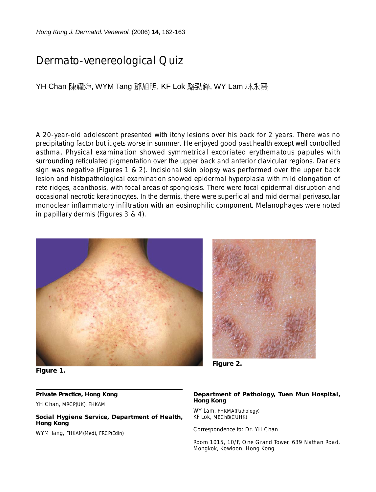Hong Kong J. Dermatol. Venereol. (2006) **14**, 162-163

# Dermato-venereological Quiz

YH Chan 陳耀海, WYM Tang 鄧旭明, KF Lok 駱勁鋒, WY Lam 林永賢

A 20-year-old adolescent presented with itchy lesions over his back for 2 years. There was no precipitating factor but it gets worse in summer. He enjoyed good past health except well controlled asthma. Physical examination showed symmetrical excoriated erythematous papules with surrounding reticulated pigmentation over the upper back and anterior clavicular regions. Darier's sign was negative (Figures 1 & 2). Incisional skin biopsy was performed over the upper back lesion and histopathological examination showed epidermal hyperplasia with mild elongation of rete ridges, acanthosis, with focal areas of spongiosis. There were focal epidermal disruption and occasional necrotic keratinocytes. In the dermis, there were superficial and mid dermal perivascular monoclear inflammatory infiltration with an eosinophilic component. Melanophages were noted in papillary dermis (Figures 3 & 4).



**Figure 1.**

### **Private Practice, Hong Kong**

YH Chan, MRCP(UK), FHKAM

**Social Hygiene Service, Department of Health, Hong Kong**

WYM Tang, FHKAM(Med), FRCP(Edin)



**Figure 2.**

#### **Department of Pathology, Tuen Mun Hospital, Hong Kong**

WY Lam, FHKMA(Pathology) KF Lok, MBChB(CUHK)

Correspondence to: Dr. YH Chan

Room 1015, 10/F, One Grand Tower, 639 Nathan Road, Mongkok, Kowloon, Hong Kong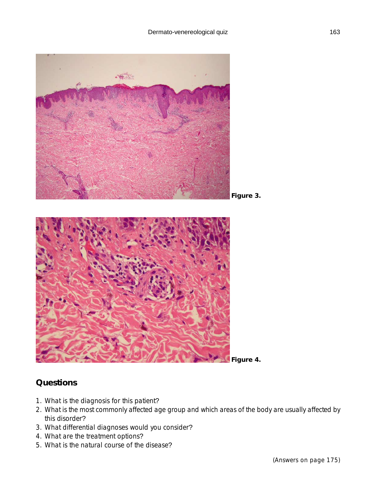

### **Questions**

- 1. What is the diagnosis for this patient?
- 2. What is the most commonly affected age group and which areas of the body are usually affected by this disorder?
- 3. What differential diagnoses would you consider?
- 4. What are the treatment options?
- 5. What is the natural course of the disease?